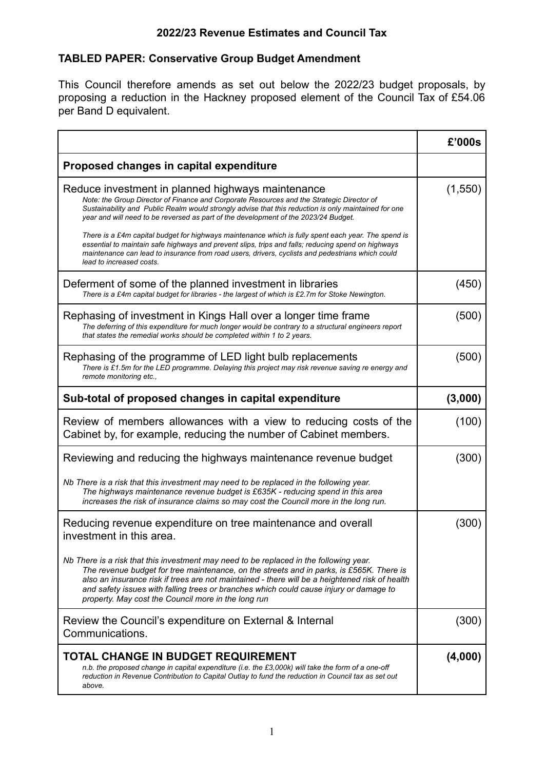## **2022/23 Revenue Estimates and Council Tax**

## **TABLED PAPER: Conservative Group Budget Amendment**

This Council therefore amends as set out below the 2022/23 budget proposals, by proposing a reduction in the Hackney proposed element of the Council Tax of £54.06 per Band D equivalent.

|                                                                                                                                                                                                                                                                                                                                                                                                                                       | £'000s   |
|---------------------------------------------------------------------------------------------------------------------------------------------------------------------------------------------------------------------------------------------------------------------------------------------------------------------------------------------------------------------------------------------------------------------------------------|----------|
| Proposed changes in capital expenditure                                                                                                                                                                                                                                                                                                                                                                                               |          |
| Reduce investment in planned highways maintenance<br>Note: the Group Director of Finance and Corporate Resources and the Strategic Director of<br>Sustainability and Public Realm would strongly advise that this reduction is only maintained for one<br>year and will need to be reversed as part of the development of the 2023/24 Budget.                                                                                         | (1, 550) |
| There is a £4m capital budget for highways maintenance which is fully spent each year. The spend is<br>essential to maintain safe highways and prevent slips, trips and falls; reducing spend on highways<br>maintenance can lead to insurance from road users, drivers, cyclists and pedestrians which could<br>lead to increased costs.                                                                                             |          |
| Deferment of some of the planned investment in libraries<br>There is a £4m capital budget for libraries - the largest of which is £2.7m for Stoke Newington.                                                                                                                                                                                                                                                                          | (450)    |
| Rephasing of investment in Kings Hall over a longer time frame<br>The deferring of this expenditure for much longer would be contrary to a structural engineers report<br>that states the remedial works should be completed within 1 to 2 years.                                                                                                                                                                                     | (500)    |
| Rephasing of the programme of LED light bulb replacements<br>There is £1.5m for the LED programme. Delaying this project may risk revenue saving re energy and<br>remote monitoring etc.,                                                                                                                                                                                                                                             | (500)    |
| Sub-total of proposed changes in capital expenditure                                                                                                                                                                                                                                                                                                                                                                                  | (3,000)  |
| Review of members allowances with a view to reducing costs of the<br>Cabinet by, for example, reducing the number of Cabinet members.                                                                                                                                                                                                                                                                                                 | (100)    |
| Reviewing and reducing the highways maintenance revenue budget                                                                                                                                                                                                                                                                                                                                                                        | (300)    |
| Nb There is a risk that this investment may need to be replaced in the following year.<br>The highways maintenance revenue budget is £635K - reducing spend in this area<br>increases the risk of insurance claims so may cost the Council more in the long run.                                                                                                                                                                      |          |
| Reducing revenue expenditure on tree maintenance and overall<br>investment in this area.                                                                                                                                                                                                                                                                                                                                              | (300)    |
| Nb There is a risk that this investment may need to be replaced in the following year.<br>The revenue budget for tree maintenance, on the streets and in parks, is £565K. There is<br>also an insurance risk if trees are not maintained - there will be a heightened risk of health<br>and safety issues with falling trees or branches which could cause injury or damage to<br>property. May cost the Council more in the long run |          |
| Review the Council's expenditure on External & Internal<br>Communications.                                                                                                                                                                                                                                                                                                                                                            | (300)    |
| <b>TOTAL CHANGE IN BUDGET REQUIREMENT</b><br>n.b. the proposed change in capital expenditure (i.e. the £3,000k) will take the form of a one-off<br>reduction in Revenue Contribution to Capital Outlay to fund the reduction in Council tax as set out<br>above.                                                                                                                                                                      | (4,000)  |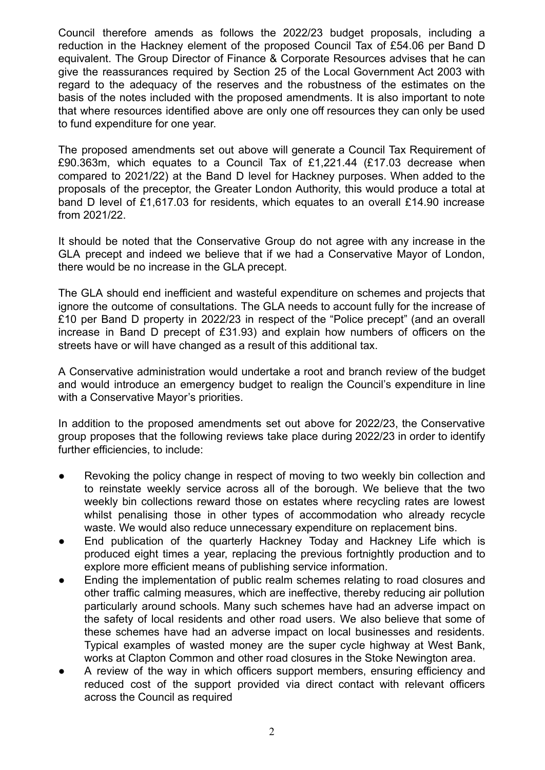Council therefore amends as follows the 2022/23 budget proposals, including a reduction in the Hackney element of the proposed Council Tax of £54.06 per Band D equivalent. The Group Director of Finance & Corporate Resources advises that he can give the reassurances required by Section 25 of the Local Government Act 2003 with regard to the adequacy of the reserves and the robustness of the estimates on the basis of the notes included with the proposed amendments. It is also important to note that where resources identified above are only one off resources they can only be used to fund expenditure for one year.

The proposed amendments set out above will generate a Council Tax Requirement of £90.363m, which equates to a Council Tax of £1,221.44 (£17.03 decrease when compared to 2021/22) at the Band D level for Hackney purposes. When added to the proposals of the preceptor, the Greater London Authority, this would produce a total at band D level of £1,617.03 for residents, which equates to an overall £14.90 increase from 2021/22.

It should be noted that the Conservative Group do not agree with any increase in the GLA precept and indeed we believe that if we had a Conservative Mayor of London, there would be no increase in the GLA precept.

The GLA should end inefficient and wasteful expenditure on schemes and projects that ignore the outcome of consultations. The GLA needs to account fully for the increase of £10 per Band D property in 2022/23 in respect of the "Police precept" (and an overall increase in Band D precept of £31.93) and explain how numbers of officers on the streets have or will have changed as a result of this additional tax.

A Conservative administration would undertake a root and branch review of the budget and would introduce an emergency budget to realign the Council's expenditure in line with a Conservative Mayor's priorities.

In addition to the proposed amendments set out above for 2022/23, the Conservative group proposes that the following reviews take place during 2022/23 in order to identify further efficiencies, to include:

- Revoking the policy change in respect of moving to two weekly bin collection and to reinstate weekly service across all of the borough. We believe that the two weekly bin collections reward those on estates where recycling rates are lowest whilst penalising those in other types of accommodation who already recycle waste. We would also reduce unnecessary expenditure on replacement bins.
- End publication of the quarterly Hackney Today and Hackney Life which is produced eight times a year, replacing the previous fortnightly production and to explore more efficient means of publishing service information.
- Ending the implementation of public realm schemes relating to road closures and other traffic calming measures, which are ineffective, thereby reducing air pollution particularly around schools. Many such schemes have had an adverse impact on the safety of local residents and other road users. We also believe that some of these schemes have had an adverse impact on local businesses and residents. Typical examples of wasted money are the super cycle highway at West Bank, works at Clapton Common and other road closures in the Stoke Newington area.
- A review of the way in which officers support members, ensuring efficiency and reduced cost of the support provided via direct contact with relevant officers across the Council as required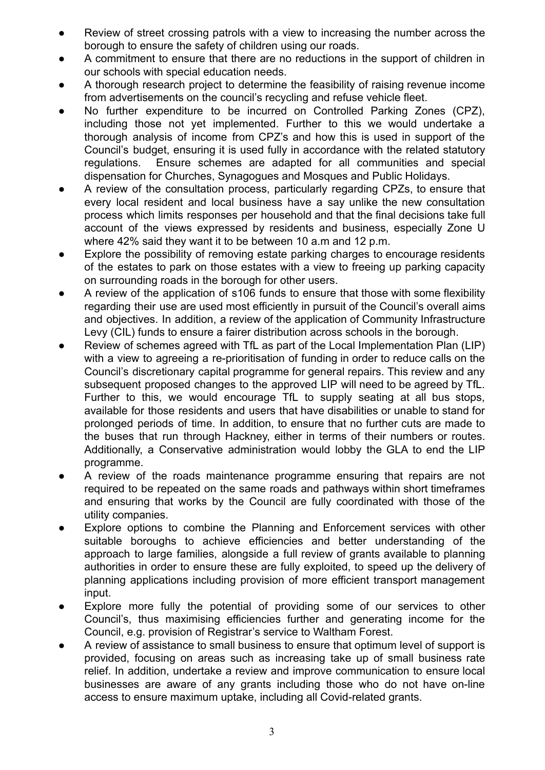- Review of street crossing patrols with a view to increasing the number across the borough to ensure the safety of children using our roads.
- A commitment to ensure that there are no reductions in the support of children in our schools with special education needs.
- A thorough research project to determine the feasibility of raising revenue income from advertisements on the council's recycling and refuse vehicle fleet.
- No further expenditure to be incurred on Controlled Parking Zones (CPZ), including those not yet implemented. Further to this we would undertake a thorough analysis of income from CPZ's and how this is used in support of the Council's budget, ensuring it is used fully in accordance with the related statutory regulations. Ensure schemes are adapted for all communities and special dispensation for Churches, Synagogues and Mosques and Public Holidays.
- A review of the consultation process, particularly regarding CPZs, to ensure that every local resident and local business have a say unlike the new consultation process which limits responses per household and that the final decisions take full account of the views expressed by residents and business, especially Zone U where 42% said they want it to be between 10 a.m and 12 p.m.
- Explore the possibility of removing estate parking charges to encourage residents of the estates to park on those estates with a view to freeing up parking capacity on surrounding roads in the borough for other users.
- A review of the application of s106 funds to ensure that those with some flexibility regarding their use are used most efficiently in pursuit of the Council's overall aims and objectives. In addition, a review of the application of Community Infrastructure Levy (CIL) funds to ensure a fairer distribution across schools in the borough.
- Review of schemes agreed with TfL as part of the Local Implementation Plan (LIP) with a view to agreeing a re-prioritisation of funding in order to reduce calls on the Council's discretionary capital programme for general repairs. This review and any subsequent proposed changes to the approved LIP will need to be agreed by TfL. Further to this, we would encourage TfL to supply seating at all bus stops, available for those residents and users that have disabilities or unable to stand for prolonged periods of time. In addition, to ensure that no further cuts are made to the buses that run through Hackney, either in terms of their numbers or routes. Additionally, a Conservative administration would lobby the GLA to end the LIP programme.
- A review of the roads maintenance programme ensuring that repairs are not required to be repeated on the same roads and pathways within short timeframes and ensuring that works by the Council are fully coordinated with those of the utility companies.
- Explore options to combine the Planning and Enforcement services with other suitable boroughs to achieve efficiencies and better understanding of the approach to large families, alongside a full review of grants available to planning authorities in order to ensure these are fully exploited, to speed up the delivery of planning applications including provision of more efficient transport management input.
- Explore more fully the potential of providing some of our services to other Council's, thus maximising efficiencies further and generating income for the Council, e.g. provision of Registrar's service to Waltham Forest.
- A review of assistance to small business to ensure that optimum level of support is provided, focusing on areas such as increasing take up of small business rate relief. In addition, undertake a review and improve communication to ensure local businesses are aware of any grants including those who do not have on-line access to ensure maximum uptake, including all Covid-related grants.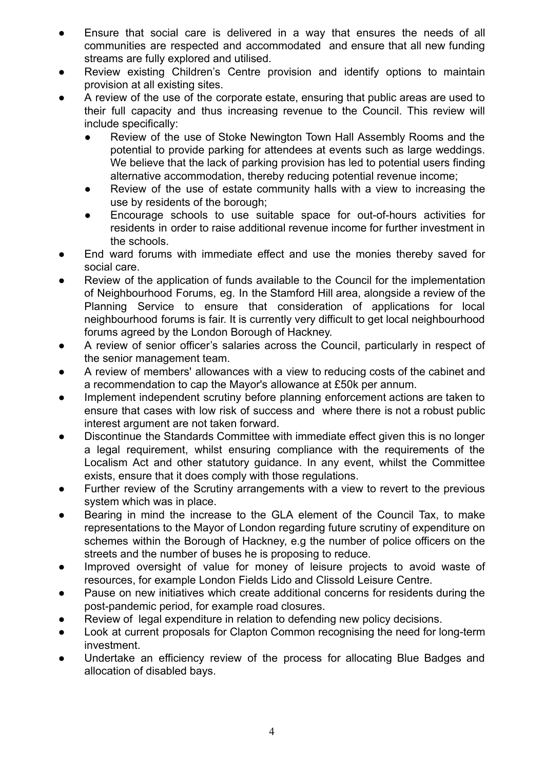- Ensure that social care is delivered in a way that ensures the needs of all communities are respected and accommodated and ensure that all new funding streams are fully explored and utilised.
- Review existing Children's Centre provision and identify options to maintain provision at all existing sites.
- A review of the use of the corporate estate, ensuring that public areas are used to their full capacity and thus increasing revenue to the Council. This review will include specifically:
	- Review of the use of Stoke Newington Town Hall Assembly Rooms and the potential to provide parking for attendees at events such as large weddings. We believe that the lack of parking provision has led to potential users finding alternative accommodation, thereby reducing potential revenue income;
	- Review of the use of estate community halls with a view to increasing the use by residents of the borough;
	- Encourage schools to use suitable space for out-of-hours activities for residents in order to raise additional revenue income for further investment in the schools.
- End ward forums with immediate effect and use the monies thereby saved for social care.
- Review of the application of funds available to the Council for the implementation of Neighbourhood Forums, eg. In the Stamford Hill area, alongside a review of the Planning Service to ensure that consideration of applications for local neighbourhood forums is fair. It is currently very difficult to get local neighbourhood forums agreed by the London Borough of Hackney.
- A review of senior officer's salaries across the Council, particularly in respect of the senior management team.
- A review of members' allowances with a view to reducing costs of the cabinet and a recommendation to cap the Mayor's allowance at £50k per annum.
- Implement independent scrutiny before planning enforcement actions are taken to ensure that cases with low risk of success and where there is not a robust public interest argument are not taken forward.
- Discontinue the Standards Committee with immediate effect given this is no longer a legal requirement, whilst ensuring compliance with the requirements of the Localism Act and other statutory guidance. In any event, whilst the Committee exists, ensure that it does comply with those regulations.
- Further review of the Scrutiny arrangements with a view to revert to the previous system which was in place.
- Bearing in mind the increase to the GLA element of the Council Tax, to make representations to the Mayor of London regarding future scrutiny of expenditure on schemes within the Borough of Hackney, e.g the number of police officers on the streets and the number of buses he is proposing to reduce.
- Improved oversight of value for money of leisure projects to avoid waste of resources, for example London Fields Lido and Clissold Leisure Centre.
- Pause on new initiatives which create additional concerns for residents during the post-pandemic period, for example road closures.
- Review of legal expenditure in relation to defending new policy decisions.
- Look at current proposals for Clapton Common recognising the need for long-term investment.
- Undertake an efficiency review of the process for allocating Blue Badges and allocation of disabled bays.